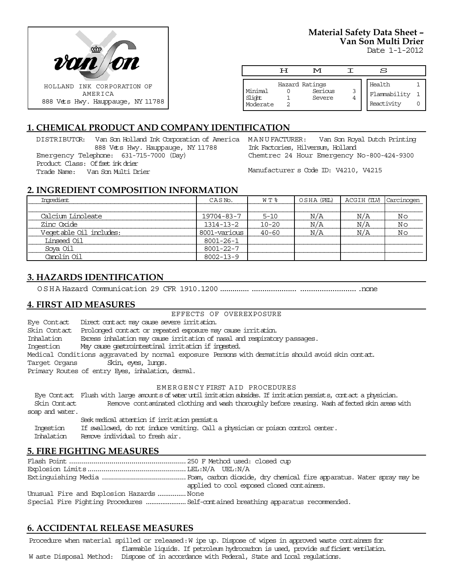

**Material Safety Data Sheet – Van Son Multi Drier**

Date 1-1-2012

|                    | Ħ | M                 |   | S            |  |
|--------------------|---|-------------------|---|--------------|--|
|                    |   |                   |   |              |  |
|                    |   | Hazard Ratings    |   | Health       |  |
| Minimal            |   | Serious<br>Severe | 3 | Flammability |  |
| Slight<br>Moderate |   |                   |   | Reactivity   |  |

# **1. CHEMICAL PRODUCT AND COMPANY IDENTIFICATION**

DISTRIBUTOR: Van Son Holland Ink Corporation of America MANU FACTURER: 888 Vets Hwy. Hauppauge, NY 11788 Emergency Telephone: 631-715-7000 (Day) Product Class: Offset ink drier Trade Name: Van Son Multi Drier

Van Son Royal Dutch Printing Ink Factories, Hilversum, Holland Chemtrec 24 Hour Emergency No-800-424-9300

Manufacturer s Code ID: V4210, V4215

## **2. INGREDIENT COMPOSITION INFORMATION**

| Ingredient              | CASN <sub>o</sub> . | W T %     | OSHA (PEL) | ACGIH (TLV) | Carcinogen |
|-------------------------|---------------------|-----------|------------|-------------|------------|
|                         |                     |           |            |             |            |
| Calcium Linoleate       | 19704-83-7          | $5 - 10$  | N/A        | N/A         | Νo         |
| Zinc Oxide              | $1314 - 13 - 2$     | $10 - 20$ | N/A        | N/A         | Νo         |
| Veqetable Oil includes: | 8001-various        | $40 - 60$ | N/A        | N/A         | Νo         |
| Linseed Oil             | 8001-26-1           |           |            |             |            |
| Soya Oil                | 8001-22-7           |           |            |             |            |
| Canolin Oil             | $8002 - 13 - 9$     |           |            |             |            |

## **3. HAZARDS IDENTIFICATION**

OSHA Hazard Communication 29 CFR 1910.1200................................... ...........................none

#### **4. FIRST AID MEASURES**

#### EFFECTS OF OVEREXPOSURE

Eye Contact Direct contact may cause severe irritation. Skin Contact Prolonged contact or repeated exposure may cause irritation. Inhalation Excess inhalation may cause irritation of nasal and respiratory passages. Ingestion May cause gastrointestinal irritation if ingested. Medical Conditions aggravated by normal exposure Persons with dermatitis should avoid skin contact. Target Organs Skin, eyes, lungs. Primary Routes of entry Eyes, inhalation, dermal.

#### EMERGENCY FIRST AID PROCEDURES

 Eye Contact Flush with large amounts of water until irritation subsides. If irritation persists, contact a physician. Skin Contact Remove contaminated clothing and wash thoroughly before reusing. Wash affected skin areas with soap and water.

Seek medical attention if irritation persists.

Ingestion If swallowed, do not induce vomiting. Call a physician or poison control center.

Inhalation Remove individual to fresh air.

#### **5. FIRE FIGHTING MEASURES**

Flash Point..........................................................250 F Method used: closed cup Explosion Limits.................................................LEL:N/A UEL:N/A Extinguishing Media ..........................................Foam, carbon dioxide, dry chemical fire apparatus. Water spray may be applied to cool exposed closed containers. Unusual Fire and Explosion Hazards...............None Special Fire Fighting Procedures ......................Self-contained breathing apparatus recommended.

## **6. ACCIDENTAL RELEASE MEASURES**

Procedure when material spilled or released: W ipe up. Dispose of wipes in approved waste containers for flammable liquids. If petroleum hydrocarbon is used, provide sufficient ventilation. W aste Disposal Method: Dispose of in accordance with Federal, State and Local regulations.